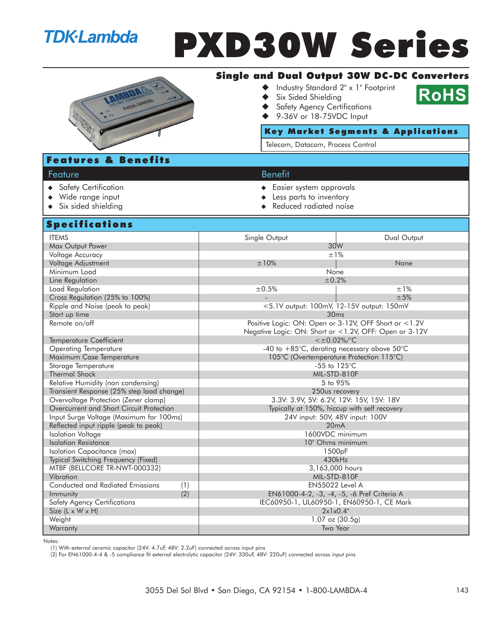## **TDK**·Lambda

# PXD30W Series



## Single and Dual Output 30W DC-DC Converters

- ◆ Industry Standard 2" x 1" Footprint
- Six Sided Shielding
- Safety Agency Certifications
- 9-36V or 18-75VDC Input

#### Key Market Segments & Applications

**RoHS** 

Telecom, Datacom, Process Control

## Features & Benefits

## Feature **Benefit**

- ◆ Safety Certification 
→ Safety Certification

→ Safety Certification
→ Easier system approvals
- ◆ Wide range input **All and All and All and All and All and All and All and All and All and All and All and All and A**
- ◆ Six sided shielding and a settled a settled reduced radiated noise

### Specifications

| <u>ahari irailais</u>                     |                                                                 |                                             |  |
|-------------------------------------------|-----------------------------------------------------------------|---------------------------------------------|--|
| <b>ITEMS</b>                              | Single Output                                                   | Dual Output                                 |  |
| Max Output Power                          | 30W                                                             |                                             |  |
| Voltage Accuracy                          |                                                                 | ±1%                                         |  |
| Voltage Adjustment                        | ±10%                                                            | None                                        |  |
| Minimum Load                              | None                                                            |                                             |  |
| Line Regulation                           | ±0.2%                                                           |                                             |  |
| Load Regulation                           | ±0.5%                                                           | $±1\%$                                      |  |
| Cross Regulation (25% to 100%)            |                                                                 | ±5%                                         |  |
| Ripple and Noise (peak to peak)           | <5.1V output: 100mV, 12-15V output: 150mV                       |                                             |  |
| Start up time                             | 30ms                                                            |                                             |  |
| Remote on/off                             | Positive Logic: ON: Open or 3-12V, OFF Short or <1.2V           |                                             |  |
|                                           | Negative Logic: ON: Short or <1.2V, OFF: Open or 3-12V          |                                             |  |
| <b>Temperature Coefficient</b>            | $<\pm 0.02\%$ /°C                                               |                                             |  |
| <b>Operating Temperature</b>              | -40 to $+85^{\circ}$ C, derating necessary above $50^{\circ}$ C |                                             |  |
| Maximum Case Temperature                  | 105°C (Overtemperature Protection 115°C)                        |                                             |  |
| Storage Temperature                       | -55 to $125^{\circ}$ C                                          |                                             |  |
| <b>Thermal Shock</b>                      | MIL-STD-810F                                                    |                                             |  |
| Relative Humidity (non condensing)        | 5 to 95%                                                        |                                             |  |
| Transient Response (25% step load change) | 250us recovery                                                  |                                             |  |
| Overvoltage Protection (Zener clamp)      | 3.3V: 3.9V, 5V: 6.2V, 12V: 15V, 15V: 18V                        |                                             |  |
| Overcurrent and Short Circuit Protection  | Typically at 150%, hiccup with self recovery                    |                                             |  |
| Input Surge Voltage (Maximum for 100ms)   | 24V input: 50V, 48V input: 100V                                 |                                             |  |
| Reflected input ripple (peak to peak)     | 20mA                                                            |                                             |  |
| <b>Isolation Voltage</b>                  | 1600VDC minimum                                                 |                                             |  |
| <b>Isolation Resistance</b>               | 10° Ohms minimum                                                |                                             |  |
| Isolation Capacitance (max)               | 1500 <sub>p</sub> F                                             |                                             |  |
| Typical Switching Frequency (Fixed)       |                                                                 | 430kHz                                      |  |
| MTBF (BELLCORE TR-NWT-000332)             |                                                                 | 3,163,000 hours                             |  |
| Vibration                                 | MIL-STD-810F                                                    |                                             |  |
| Conducted and Radiated Emissions<br>(1)   | <b>EN55022 Level A</b>                                          |                                             |  |
| (2)<br>Immunity                           |                                                                 | EN61000-4-2, -3, -4, -5, -6 Pref Criteria A |  |
| <b>Safety Agency Certifications</b>       | IEC60950-1, UL60950-1, EN60950-1, CE Mark                       |                                             |  |
| Size (L x W x H)                          | 2x1x0.4"                                                        |                                             |  |
| Weight                                    | $1.07$ oz $(30.5g)$                                             |                                             |  |
| Warranty                                  | Two Year                                                        |                                             |  |

Notes:

(1) With external ceramic capacitor (24V: 4.7uF, 48V: 2.2uF) connected across input pins

(2) For EN61000-4-4 & -5 compliance fit external electrolytic capacitor (24V: 330uF, 48V: 220uF) connected across input pins